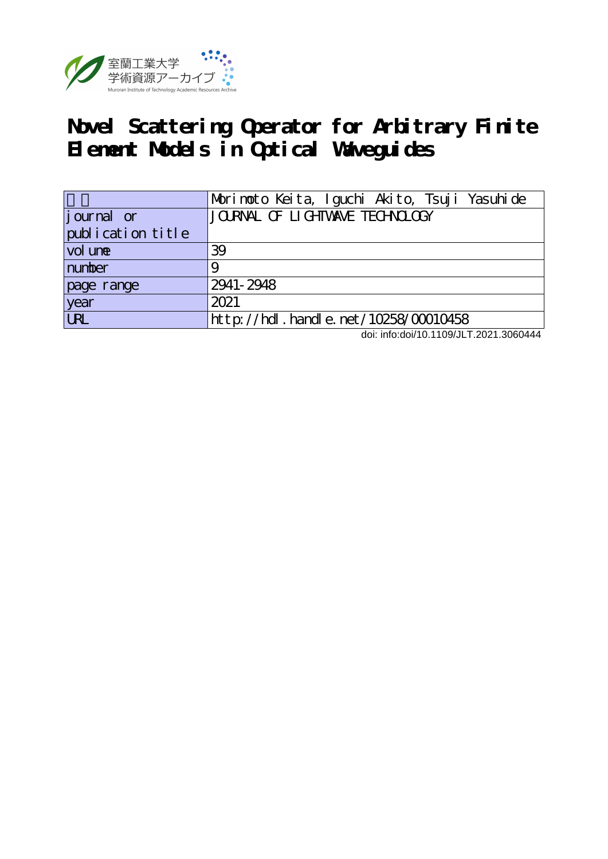

## **Novel Scattering Operator for Arbitrary Finite Element Models in Optical Waveguides**

|                   | Morinoto Keita, Iguchi Akito, Tsuji Yasuhide |
|-------------------|----------------------------------------------|
| journal or        | JOURNAL OF LIGHTVANE TECHNOLOGY              |
| publication title |                                              |
| vol une           | 39                                           |
| number            |                                              |
| page range        | 2941-2948                                    |
| year              | 2021                                         |
| URL               | $http$ ://hdl. handle. net/10258/00010458    |

doi: info:doi/10.1109/JLT.2021.3060444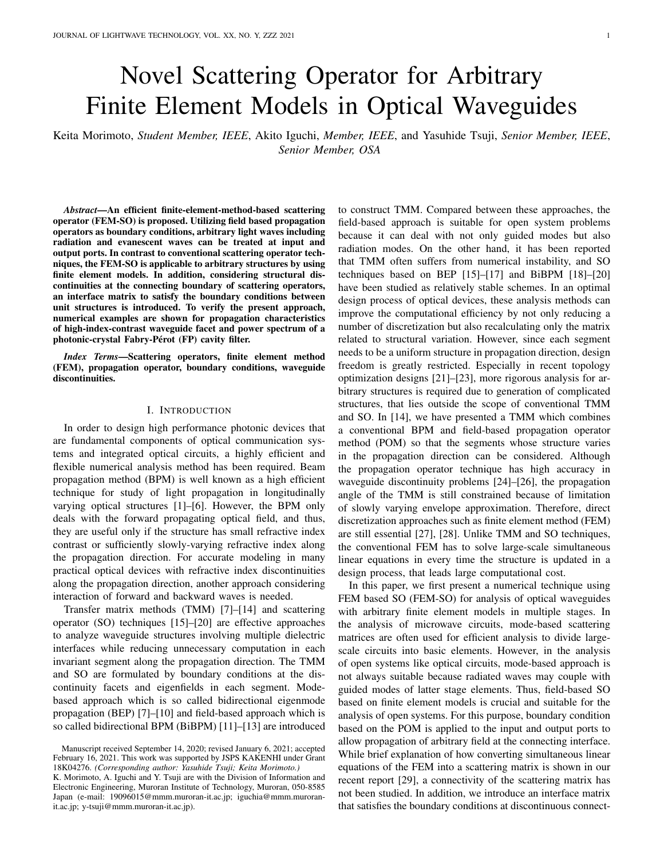# Novel Scattering Operator for Arbitrary Finite Element Models in Optical Waveguides

Keita Morimoto, *Student Member, IEEE*, Akito Iguchi, *Member, IEEE*, and Yasuhide Tsuji, *Senior Member, IEEE*, *Senior Member, OSA*

*Abstract*—An efficient finite-element-method-based scattering operator (FEM-SO) is proposed. Utilizing field based propagation operators as boundary conditions, arbitrary light waves including radiation and evanescent waves can be treated at input and output ports. In contrast to conventional scattering operator techniques, the FEM-SO is applicable to arbitrary structures by using finite element models. In addition, considering structural discontinuities at the connecting boundary of scattering operators, an interface matrix to satisfy the boundary conditions between unit structures is introduced. To verify the present approach, numerical examples are shown for propagation characteristics of high-index-contrast waveguide facet and power spectrum of a photonic-crystal Fabry-Pérot (FP) cavity filter.

*Index Terms*—Scattering operators, finite element method (FEM), propagation operator, boundary conditions, waveguide discontinuities.

## I. INTRODUCTION

In order to design high performance photonic devices that are fundamental components of optical communication systems and integrated optical circuits, a highly efficient and flexible numerical analysis method has been required. Beam propagation method (BPM) is well known as a high efficient technique for study of light propagation in longitudinally varying optical structures [1]–[6]. However, the BPM only deals with the forward propagating optical field, and thus, they are useful only if the structure has small refractive index contrast or sufficiently slowly-varying refractive index along the propagation direction. For accurate modeling in many practical optical devices with refractive index discontinuities along the propagation direction, another approach considering interaction of forward and backward waves is needed.

Transfer matrix methods (TMM) [7]–[14] and scattering operator (SO) techniques [15]–[20] are effective approaches to analyze waveguide structures involving multiple dielectric interfaces while reducing unnecessary computation in each invariant segment along the propagation direction. The TMM and SO are formulated by boundary conditions at the discontinuity facets and eigenfields in each segment. Modebased approach which is so called bidirectional eigenmode propagation (BEP) [7]–[10] and field-based approach which is so called bidirectional BPM (BiBPM) [11]–[13] are introduced to construct TMM. Compared between these approaches, the field-based approach is suitable for open system problems because it can deal with not only guided modes but also radiation modes. On the other hand, it has been reported that TMM often suffers from numerical instability, and SO techniques based on BEP [15]–[17] and BiBPM [18]–[20] have been studied as relatively stable schemes. In an optimal design process of optical devices, these analysis methods can improve the computational efficiency by not only reducing a number of discretization but also recalculating only the matrix related to structural variation. However, since each segment needs to be a uniform structure in propagation direction, design freedom is greatly restricted. Especially in recent topology optimization designs [21]–[23], more rigorous analysis for arbitrary structures is required due to generation of complicated structures, that lies outside the scope of conventional TMM and SO. In [14], we have presented a TMM which combines a conventional BPM and field-based propagation operator method (POM) so that the segments whose structure varies in the propagation direction can be considered. Although the propagation operator technique has high accuracy in waveguide discontinuity problems [24]–[26], the propagation angle of the TMM is still constrained because of limitation of slowly varying envelope approximation. Therefore, direct discretization approaches such as finite element method (FEM) are still essential [27], [28]. Unlike TMM and SO techniques, the conventional FEM has to solve large-scale simultaneous linear equations in every time the structure is updated in a design process, that leads large computational cost.

In this paper, we first present a numerical technique using FEM based SO (FEM-SO) for analysis of optical waveguides with arbitrary finite element models in multiple stages. In the analysis of microwave circuits, mode-based scattering matrices are often used for efficient analysis to divide largescale circuits into basic elements. However, in the analysis of open systems like optical circuits, mode-based approach is not always suitable because radiated waves may couple with guided modes of latter stage elements. Thus, field-based SO based on finite element models is crucial and suitable for the analysis of open systems. For this purpose, boundary condition based on the POM is applied to the input and output ports to allow propagation of arbitrary field at the connecting interface. While brief explanation of how converting simultaneous linear equations of the FEM into a scattering matrix is shown in our recent report [29], a connectivity of the scattering matrix has not been studied. In addition, we introduce an interface matrix that satisfies the boundary conditions at discontinuous connect-

Manuscript received September 14, 2020; revised January 6, 2021; accepted February 16, 2021. This work was supported by JSPS KAKENHI under Grant 18K04276. *(Corresponding author: Yasuhide Tsuji; Keita Morimoto.)*

K. Morimoto, A. Iguchi and Y. Tsuji are with the Division of Information and Electronic Engineering, Muroran Institute of Technology, Muroran, 050-8585 Japan (e-mail: 19096015@mmm.muroran-it.ac.jp; iguchia@mmm.muroranit.ac.jp; y-tsuji@mmm.muroran-it.ac.jp).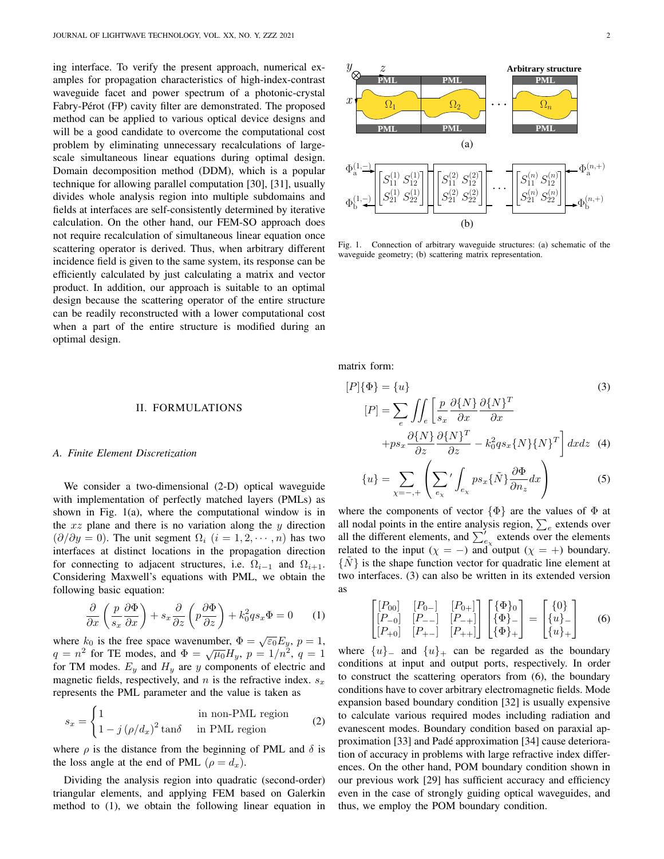ing interface. To verify the present approach, numerical examples for propagation characteristics of high-index-contrast waveguide facet and power spectrum of a photonic-crystal Fabry-Pérot (FP) cavity filter are demonstrated. The proposed method can be applied to various optical device designs and will be a good candidate to overcome the computational cost problem by eliminating unnecessary recalculations of largescale simultaneous linear equations during optimal design. Domain decomposition method (DDM), which is a popular technique for allowing parallel computation [30], [31], usually divides whole analysis region into multiple subdomains and fields at interfaces are self-consistently determined by iterative calculation. On the other hand, our FEM-SO approach does not require recalculation of simultaneous linear equation once scattering operator is derived. Thus, when arbitrary different incidence field is given to the same system, its response can be efficiently calculated by just calculating a matrix and vector product. In addition, our approach is suitable to an optimal design because the scattering operator of the entire structure can be readily reconstructed with a lower computational cost when a part of the entire structure is modified during an optimal design.

#### II. FORMULATIONS

## *A. Finite Element Discretization*

We consider a two-dimensional  $(2-D)$  optical waveguide with implementation of perfectly matched layers (PMLs) as shown in Fig. 1(a), where the computational window is in the *xz* plane and there is no variation along the *y* direction  $(\partial/\partial y = 0)$ . The unit segment  $\Omega_i$  ( $i = 1, 2, \dots, n$ ) has two interfaces at distinct locations in the propagation direction for connecting to adjacent structures, i.e.  $\Omega_{i-1}$  and  $\Omega_{i+1}$ . Considering Maxwell's equations with PML, we obtain the following basic equation:

$$
\frac{\partial}{\partial x}\left(\frac{p}{s_x}\frac{\partial \Phi}{\partial x}\right) + s_x \frac{\partial}{\partial z}\left(p\frac{\partial \Phi}{\partial z}\right) + k_0^2 qs_x \Phi = 0 \qquad (1)
$$

where  $k_0$  is the free space wavenumber,  $\Phi = \sqrt{\epsilon_0} E_y$ ,  $p = 1$ , *q* = *n*<sup>2</sup> for TE modes, and  $\Phi = \sqrt{\mu_0} H_y$ ,  $p = 1/n^2$ ,  $q = 1$ for TM modes.  $E_y$  and  $H_y$  are  $y$  components of electric and magnetic fields, respectively, and  $n$  is the refractive index.  $s_x$ represents the PML parameter and the value is taken as

$$
s_x = \begin{cases} 1 & \text{in non-PML region} \\ 1 - j \left( \rho / d_x \right)^2 \tan \delta & \text{in PML region} \end{cases}
$$
 (2)

where  $\rho$  is the distance from the beginning of PML and  $\delta$  is the loss angle at the end of PML ( $\rho = d_x$ ).

Dividing the analysis region into quadratic (second-order) triangular elements, and applying FEM based on Galerkin method to (1), we obtain the following linear equation in



Fig. 1. Connection of arbitrary waveguide structures: (a) schematic of the waveguide geometry; (b) scattering matrix representation.

matrix form:

$$
[P]\{\Phi\} = \{u\}
$$
\n
$$
[P] = \sum_{e} \iint_{e} \left[ \frac{p}{s_x} \frac{\partial \{N\}}{\partial x} \frac{\partial \{N\}^T}{\partial x} + ps_x \frac{\partial \{N\}^T}{\partial z} \frac{\partial \{N\}^T}{\partial z} - k_0^2 qs_x \{N\} \{N\}^T \right] dx dz
$$
\n(3)

$$
\{u\} = \sum_{\chi = -, +} \left( \sum_{e_{\chi}}' \int_{e_{\chi}} p s_x \{ \tilde{N} \} \frac{\partial \Phi}{\partial n_z} dx \right)
$$
 (5)

where the components of vector  $\{\Phi\}$  are the values of  $\Phi$  at all nodal points in the entire analysis region,  $\sum_{e}$  extends over all the different elements, and  $\sum'_{e_{\chi}}$  extends over the elements related to the input ( $\chi = -$ ) and output ( $\chi = +$ ) boundary. *{N*˜*}* is the shape function vector for quadratic line element at two interfaces. (3) can also be written in its extended version as

$$
\begin{bmatrix}\n[P_{00}] & [P_{0-}] & [P_{0+}] \\
[P_{-0}] & [P_{--}] & [P_{-+}]\n[P_{+0}] & [P_{+-}] & [P_{++}]\n\end{bmatrix}\n\begin{bmatrix}\n\{\Phi\}_0 \\
\{\Phi\}_-\n\end{bmatrix} =\n\begin{bmatrix}\n\{0\} \\
\{u\}_-\n\end{bmatrix}\n\tag{6}
$$

where  $\{u\}$ <sub>−</sub> and  $\{u\}$ <sub>+</sub> can be regarded as the boundary conditions at input and output ports, respectively. In order to construct the scattering operators from (6), the boundary conditions have to cover arbitrary electromagnetic fields. Mode expansion based boundary condition [32] is usually expensive to calculate various required modes including radiation and evanescent modes. Boundary condition based on paraxial approximation [33] and Pade approximation [34] cause deteriora- ´ tion of accuracy in problems with large refractive index differences. On the other hand, POM boundary condition shown in our previous work [29] has sufficient accuracy and efficiency even in the case of strongly guiding optical waveguides, and thus, we employ the POM boundary condition.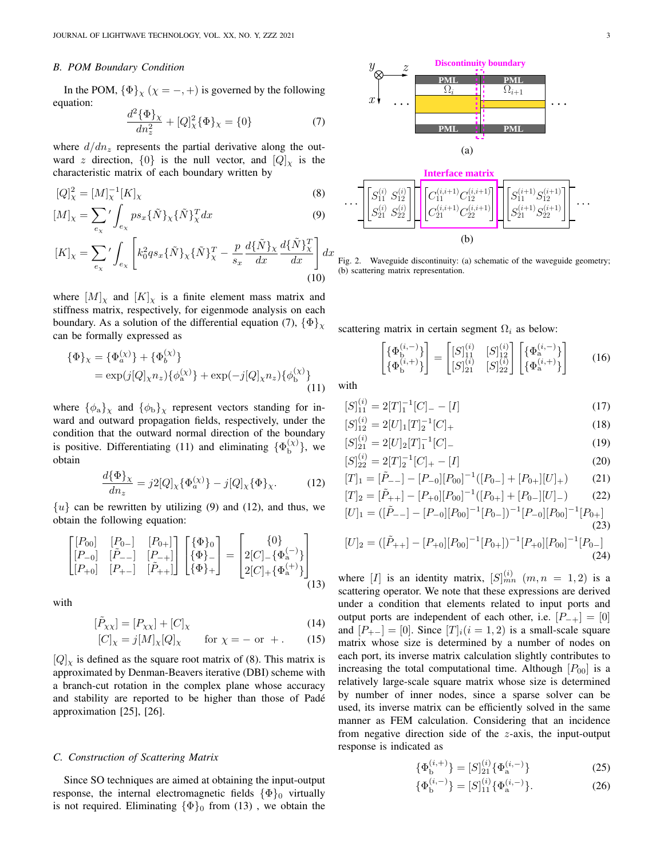#### *B. POM Boundary Condition*

(*χ*)

In the POM,  $\{\Phi\}_\chi$  ( $\chi = -, +$ ) is governed by the following equation:

$$
\frac{d^2\{\Phi\}_\chi}{dn_z^2} + [Q]_\chi^2\{\Phi\}_\chi = \{0\} \tag{7}
$$

where  $d/dn_z$  represents the partial derivative along the outward *z* direction,  $\{0\}$  is the null vector, and  $[Q]_X$  is the characteristic matrix of each boundary written by

$$
[Q]_{\chi}^{2} = [M]_{\chi}^{-1} [K]_{\chi}
$$
\n(8)

$$
[M]_{\chi} = \sum_{e_{\chi}}' \int_{e_{\chi}} p s_x \{\tilde{N}\}_{\chi} \{\tilde{N}\}_{\chi}^T dx
$$
(9)

$$
[K]_{\chi} = \sum_{e_{\chi}}' \int_{e_{\chi}} \left[ k_0^2 qs_x \{ \tilde{N} \}_{\chi} \{ \tilde{N} \}_{\chi}^T - \frac{p}{s_x} \frac{d \{ \tilde{N} \}_{\chi}}{dx} \frac{d \{ \tilde{N} \}_{\chi}^T}{dx} \right] dx
$$
\n(10)

where  $[M]_X$  and  $[K]_X$  is a finite element mass matrix and stiffness matrix, respectively, for eigenmode analysis on each boundary. As a solution of the differential equation (7),  $\{\Phi\}_y$ can be formally expressed as

(*χ*)

$$
\begin{aligned} \{\Phi\}_{\chi} &= \{\Phi_a^{(\chi)}\} + \{\Phi_b^{(\chi)}\} \\ &= \exp(j[Q]_{\chi} n_z) \{\phi_a^{(\chi)}\} + \exp(-j[Q]_{\chi} n_z) \{\phi_b^{(\chi)}\} \\ &\qquad (11) \end{aligned}
$$

where  ${\phi_a}_x$  and  ${\phi_b}_x$  represent vectors standing for inward and outward propagation fields, respectively, under the condition that the outward normal direction of the boundary is positive. Differentiating (11) and eliminating  $\{\Phi_{b}^{(\chi)}\}$  $\{a,b}^{(\chi)}\}$ , we obtain

$$
\frac{d\{\Phi\}_{\chi}}{dn_z} = j2[Q]_{\chi}\{\Phi_a^{(\chi)}\} - j[Q]_{\chi}\{\Phi\}_{\chi}.
$$
 (12)

 $\{u\}$  can be rewritten by utilizing (9) and (12), and thus, we obtain the following equation:

$$
\begin{bmatrix}\n[P_{00}] & [P_{0-}] & [P_{0+}] \\
[P_{-0}] & [P_{--}] & [P_{-+}] \\
[P_{+0}] & [P_{+-}] & [P_{++}]\n\end{bmatrix}\n\begin{bmatrix}\n\{\Phi\}_0 \\
\{\Phi\}_-\n\end{bmatrix} =\n\begin{bmatrix}\n\{0\} \\
2[C]_{-}\{\Phi_a^{(-)}\} \\
2[C]_{+}\{\Phi_a^{(+)}\}\n\end{bmatrix}
$$
\n(13)

with

$$
[\tilde{P}_{XX}] = [P_{XX}] + [C]_X \tag{14}
$$

$$
[C]_{\chi} = j[M]_{\chi}[Q]_{\chi} \quad \text{for } \chi = - \text{ or } +. \quad (15)
$$

 $[Q]$ <sub>*x*</sub> is defined as the square root matrix of (8). This matrix is approximated by Denman-Beavers iterative (DBI) scheme with a branch-cut rotation in the complex plane whose accuracy and stability are reported to be higher than those of Pade´ approximation [25], [26].

## *C. Construction of Scattering Matrix*

Since SO techniques are aimed at obtaining the input-output response, the internal electromagnetic fields  ${\{\Phi\}}_0$  virtually is not required. Eliminating  $\{\Phi\}_0$  from (13), we obtain the



Fig. 2. Waveguide discontinuity: (a) schematic of the waveguide geometry; (b) scattering matrix representation.

scattering matrix in certain segment  $\Omega_i$  as below:

$$
\begin{bmatrix} {\Phi}_{\mathbf{b}}^{(i,-)} \\ {\Phi}_{\mathbf{b}}^{(i,+)} \end{bmatrix} = \begin{bmatrix} [S]_{11}^{(i)} & [S]_{12}^{(i)} \\ [S]_{21}^{(i)} & [S]_{22}^{(i)} \end{bmatrix} \begin{bmatrix} {\Phi}_{\mathbf{a}}^{(i,-)} \\ {\Phi}_{\mathbf{a}}^{(i,+)} \end{bmatrix}
$$
 (16)

with

$$
[S]_{11}^{(i)} = 2[T]_1^{-1}[C]_ - [I] \tag{17}
$$

$$
[S]_{12}^{(i)} = 2[U]_1[T]_2^{-1}[C]_+
$$
\n
$$
[S]_{2}^{(i)} = 2[U]_2[T]_2^{-1}[C]
$$
\n(18)

$$
[S]_{21}^{(i)} = 2[U]_2[T]_1^{-1}[C]_-\tag{19}
$$
  
\n
$$
[S]_{22}^{(i)} = 2[T]_2^{-1}[C]_+ - [I]\tag{20}
$$

$$
[S]_{22}^{(v)} = 2[T]_2^{-1}[C]_+ - [I] \tag{20}
$$
  
\n
$$
[T]_1 = [\tilde{P}_{--}] - [P_{-0}][P_{00}]^{-1}([P_{0-}] + [P_{0+}][U]_+) \tag{21}
$$

$$
[T]_2 = [\tilde{P}_{++}] - [P_{+0}][P_{00}]^{-1}([P_{0+}] + [P_{0-}][U]_{-})
$$
(22)  

$$
[U]_1 = ([\tilde{P}_{--}] - [P_{-0}][P_{00}]^{-1}[P_{0-}])^{-1}[P_{-0}][P_{00}]^{-1}[P_{0+}]
$$

$$
A = ([\tilde{P}_{--}] - [P_{-0}][P_{00}]^{-1}[P_{0-}])^{-1}[P_{-0}][P_{00}]^{-1}[P_{0+}]
$$
\n(23)

$$
[U]_2 = ([\tilde{P}_{++}] - [P_{+0}][P_{00}]^{-1}[P_{0+}])^{-1}[P_{+0}][P_{00}]^{-1}[P_{0-}]
$$
\n(24)

where [*I*] is an identity matrix,  $[S]_{mn}^{(i)}$   $(m, n = 1, 2)$  is a scattering operator. We note that these expressions are derived under a condition that elements related to input ports and output ports are independent of each other, i.e. [*P−*<sup>+</sup>] = [0] and  $[P_{+-}] = [0]$ . Since  $[T]_i(i = 1, 2)$  is a small-scale square matrix whose size is determined by a number of nodes on each port, its inverse matrix calculation slightly contributes to increasing the total computational time. Although  $[P_{00}]$  is a relatively large-scale square matrix whose size is determined by number of inner nodes, since a sparse solver can be used, its inverse matrix can be efficiently solved in the same manner as FEM calculation. Considering that an incidence from negative direction side of the *z*-axis, the input-output response is indicated as

$$
\{\Phi_{\mathbf{b}}^{(i,+)}\} = [S]_{21}^{(i)}\{\Phi_{\mathbf{a}}^{(i,-)}\}\tag{25}
$$

$$
\{\Phi_{\mathbf{b}}^{(i,-)}\} = [S]_{11}^{(i)}\{\Phi_{\mathbf{a}}^{(i,-)}\}.
$$
 (26)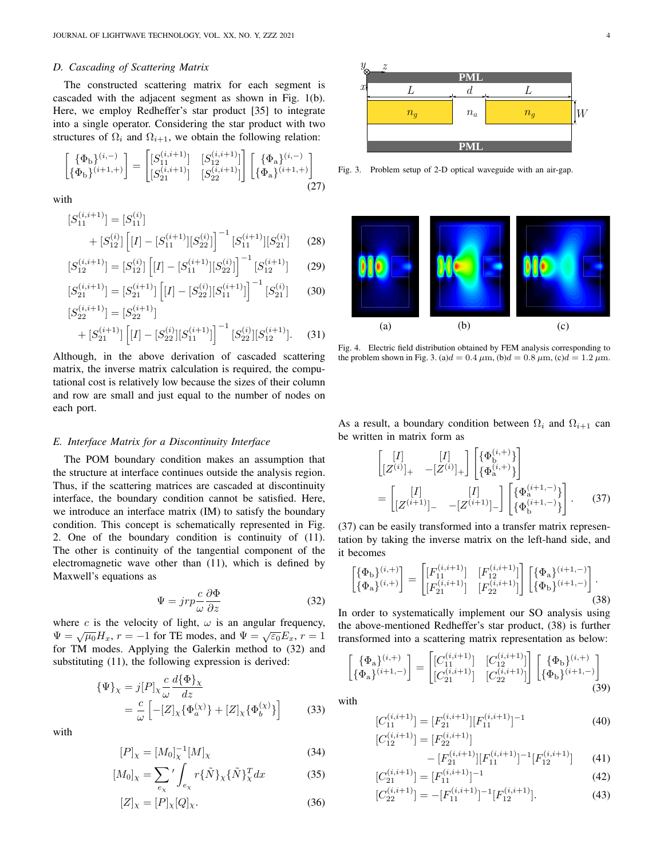## *D. Cascading of Scattering Matrix*

The constructed scattering matrix for each segment is cascaded with the adjacent segment as shown in Fig. 1(b). Here, we employ Redheffer's star product [35] to integrate into a single operator. Considering the star product with two structures of  $\Omega_i$  and  $\Omega_{i+1}$ , we obtain the following relation:

$$
\begin{bmatrix} {\Phi_b}^{(i,-)} \\ {\Phi_b}^{(i+1,+)} \end{bmatrix} = \begin{bmatrix} [S_{11}^{(i,i+1)}] & [S_{12}^{(i,i+1)}] \\ [S_{21}^{(i,i+1)}] & [S_{22}^{(i,i+1)}] \end{bmatrix} \begin{bmatrix} {\Phi_a}^{(i,-)} \\ {\Phi_a}^{(i+1,+)} \end{bmatrix}
$$
(27)

with

$$
[S_{11}^{(i,i+1)}] = [S_{11}^{(i)}] + [S_{12}^{(i)}] [I] - [S_{11}^{(i+1)}][S_{22}^{(i)}]^{-1} [S_{11}^{(i+1)}][S_{21}^{(i)}] \qquad (28)
$$

$$
[S_{12}^{(i,i+1)}] = [S_{12}^{(i)}] \left[ [I] - [S_{11}^{(i+1)}] [S_{22}^{(i)}] \right]^{-1} [S_{12}^{(i+1)}] \tag{29}
$$

$$
[S_{21}^{(i,i+1)}] = [S_{21}^{(i+1)}] \left[ [I] - [S_{22}^{(i)}] [S_{11}^{(i+1)}] \right]^{-1} [S_{21}^{(i)}] \tag{30}
$$

$$
[S_{22}^{(i,i+1)}] = [S_{22}^{(i+1)}] + [S_{21}^{(i+1)}] [I] - [S_{22}^{(i)}][S_{11}^{(i+1)}]^{-1} [S_{22}^{(i)}][S_{12}^{(i+1)}].
$$
 (31)

Although, in the above derivation of cascaded scattering matrix, the inverse matrix calculation is required, the computational cost is relatively low because the sizes of their column and row are small and just equal to the number of nodes on each port.

## *E. Interface Matrix for a Discontinuity Interface*

The POM boundary condition makes an assumption that the structure at interface continues outside the analysis region. Thus, if the scattering matrices are cascaded at discontinuity interface, the boundary condition cannot be satisfied. Here, we introduce an interface matrix (IM) to satisfy the boundary condition. This concept is schematically represented in Fig. 2. One of the boundary condition is continuity of (11). The other is continuity of the tangential component of the electromagnetic wave other than (11), which is defined by Maxwell's equations as

$$
\Psi = jrp \frac{c}{\omega} \frac{\partial \Phi}{\partial z} \tag{32}
$$

where *c* is the velocity of light,  $\omega$  is an angular frequency,  $\Psi = \sqrt{\mu_0} H_x$ ,  $r = -1$  for TE modes, and  $\Psi = \sqrt{\varepsilon_0} E_x$ ,  $r = 1$ for TM modes. Applying the Galerkin method to (32) and substituting (11), the following expression is derived:

$$
\begin{aligned} \{\Psi\}_{\chi} &= j[P]_{\chi} \frac{c}{\omega} \frac{d\{\Phi\}_{\chi}}{dz} \\ &= \frac{c}{\omega} \left[ -[Z]_{\chi} \{\Phi_a^{(\chi)}\} + [Z]_{\chi} \{\Phi_b^{(\chi)}\} \right] \end{aligned} \tag{33}
$$

with

$$
[P]_{\chi} = [M_0]_{\chi}^{-1} [M]_{\chi}
$$
 (34)

$$
[M_0]_\chi = \sum_{e_\chi}{}' \int_{e_\chi} r\{\tilde{N}\}_\chi \{\tilde{N}\}_\chi^T dx \tag{35}
$$

$$
[Z]_{\chi} = [P]_{\chi}[Q]_{\chi}.
$$
\n(36)



Fig. 3. Problem setup of 2-D optical waveguide with an air-gap.



Fig. 4. Electric field distribution obtained by FEM analysis corresponding to the problem shown in Fig. 3. (a) $d = 0.4 \mu$ m, (b) $d = 0.8 \mu$ m, (c) $d = 1.2 \mu$ m.

As a result, a boundary condition between  $\Omega_i$  and  $\Omega_{i+1}$  can be written in matrix form as

$$
\begin{bmatrix}\n[I] & [I] \\
[Z^{(i)}]_{+} & -[Z^{(i)}]_{+}\n\end{bmatrix}\n\begin{bmatrix}\n\{\Phi_{\mathbf{b}}^{(i,+)}\} \\
\{\Phi_{\mathbf{a}}^{(i,+)}\}\n\end{bmatrix}
$$
\n
$$
= \begin{bmatrix}\n[I] & [I] \\
[Z^{(i+1)}]_{-} & -[Z^{(i+1)}]_{-}\n\end{bmatrix}\n\begin{bmatrix}\n\{\Phi_{\mathbf{a}}^{(i+1,-)}\} \\
\{\Phi_{\mathbf{b}}^{(i+1,-)}\}\n\end{bmatrix}.
$$
\n(37)

(37) can be easily transformed into a transfer matrix representation by taking the inverse matrix on the left-hand side, and it becomes

$$
\begin{bmatrix} {\{\Phi_{\mathbf{b}}\}}^{(i,+)} \\ {\{\Phi_{\mathbf{a}}\}}^{(i,+)} \end{bmatrix} = \begin{bmatrix} [F_{11}^{(i,i+1)}] & [F_{12}^{(i,i+1)}] \\ [F_{21}^{(i,i+1)}] & [F_{22}^{(i,i+1)}] \end{bmatrix} \begin{bmatrix} {\{\Phi_{\mathbf{a}}\}}^{(i+1,-)} \\ {\{\Phi_{\mathbf{b}}\}}^{(i+1,-)} \end{bmatrix}.
$$
\n(38)

In order to systematically implement our SO analysis using the above-mentioned Redheffer's star product, (38) is further transformed into a scattering matrix representation as below:

$$
\begin{bmatrix} {\Phi_a}^{(i,+)} \\ {\Phi_a}^{(i+1,-)} \end{bmatrix} = \begin{bmatrix} [C_{11}^{(i,i+1)}] & [C_{12}^{(i,i+1)}] \\ [C_{21}^{(i,i+1)}] & [C_{22}^{(i,i+1)}] \end{bmatrix} \begin{bmatrix} {\Phi_b}^{(i,+)} \\ {\Phi_b}^{(i+1,-)} \end{bmatrix}
$$
(39)

with

$$
[C_{11}^{(i,i+1)}] = [F_{21}^{(i,i+1)}][F_{11}^{(i,i+1)}]^{-1}
$$
\n
$$
[C_{12}^{(i,i+1)}] = [F_{22}^{(i,i+1)}]
$$
\n(40)

$$
\begin{aligned} \mathcal{F}^{(i,i+1)}_{12}] &= [F_{22}^{(i,i+1)}] \\ &- [F_{21}^{(i,i+1)}][F_{11}^{(i,i+1)}]^{-1}[F_{12}^{(i,i+1)}] \end{aligned} \tag{41}
$$

$$
[C_{21}^{(i,i+1)}] = [F_{11}^{(i,i+1)}]^{-1}
$$
 (42)

$$
[C_{22}^{(i,i+1)}] = -[F_{11}^{(i,i+1)}]^{-1} [F_{12}^{(i,i+1)}].
$$
 (43)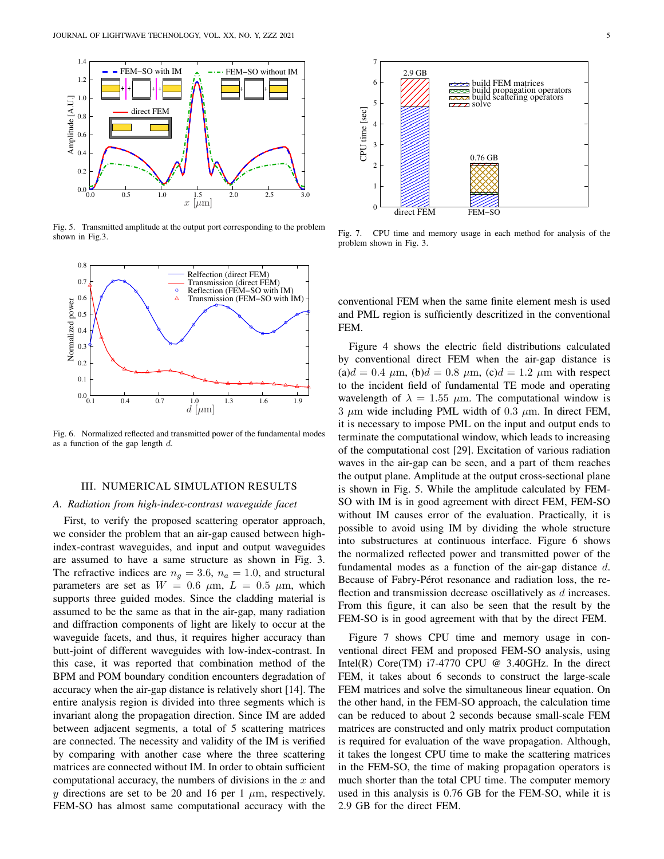

Fig. 5. Transmitted amplitude at the output port corresponding to the problem shown in Fig.3.



Fig. 6. Normalized reflected and transmitted power of the fundamental modes as a function of the gap length *d*.

#### III. NUMERICAL SIMULATION RESULTS

#### *A. Radiation from high-index-contrast waveguide facet*

First, to verify the proposed scattering operator approach, we consider the problem that an air-gap caused between highindex-contrast waveguides, and input and output waveguides are assumed to have a same structure as shown in Fig. 3. The refractive indices are  $n_q = 3.6$ ,  $n_a = 1.0$ , and structural parameters are set as  $W = 0.6 \mu m$ ,  $L = 0.5 \mu m$ , which supports three guided modes. Since the cladding material is assumed to be the same as that in the air-gap, many radiation and diffraction components of light are likely to occur at the waveguide facets, and thus, it requires higher accuracy than butt-joint of different waveguides with low-index-contrast. In this case, it was reported that combination method of the BPM and POM boundary condition encounters degradation of accuracy when the air-gap distance is relatively short [14]. The entire analysis region is divided into three segments which is invariant along the propagation direction. Since IM are added between adjacent segments, a total of 5 scattering matrices are connected. The necessity and validity of the IM is verified by comparing with another case where the three scattering matrices are connected without IM. In order to obtain sufficient computational accuracy, the numbers of divisions in the *x* and *y* directions are set to be 20 and 16 per 1  $\mu$ m, respectively. FEM-SO has almost same computational accuracy with the



Fig. 7. CPU time and memory usage in each method for analysis of the problem shown in Fig. 3.

conventional FEM when the same finite element mesh is used and PML region is sufficiently descritized in the conventional FEM.

Figure 4 shows the electric field distributions calculated by conventional direct FEM when the air-gap distance is  $(a)d = 0.4 \mu m$ ,  $(b)d = 0.8 \mu m$ ,  $(c)d = 1.2 \mu m$  with respect to the incident field of fundamental TE mode and operating wavelength of  $\lambda = 1.55 \mu$ m. The computational window is 3 *µ*m wide including PML width of 0*.*3 *µ*m. In direct FEM, it is necessary to impose PML on the input and output ends to terminate the computational window, which leads to increasing of the computational cost [29]. Excitation of various radiation waves in the air-gap can be seen, and a part of them reaches the output plane. Amplitude at the output cross-sectional plane is shown in Fig. 5. While the amplitude calculated by FEM-SO with IM is in good agreement with direct FEM, FEM-SO without IM causes error of the evaluation. Practically, it is possible to avoid using IM by dividing the whole structure into substructures at continuous interface. Figure 6 shows the normalized reflected power and transmitted power of the fundamental modes as a function of the air-gap distance *d*. Because of Fabry-Pérot resonance and radiation loss, the reflection and transmission decrease oscillatively as *d* increases. From this figure, it can also be seen that the result by the FEM-SO is in good agreement with that by the direct FEM.

Figure 7 shows CPU time and memory usage in conventional direct FEM and proposed FEM-SO analysis, using Intel(R) Core(TM)  $i7-4770$  CPU @ 3.40GHz. In the direct FEM, it takes about 6 seconds to construct the large-scale FEM matrices and solve the simultaneous linear equation. On the other hand, in the FEM-SO approach, the calculation time can be reduced to about 2 seconds because small-scale FEM matrices are constructed and only matrix product computation is required for evaluation of the wave propagation. Although, it takes the longest CPU time to make the scattering matrices in the FEM-SO, the time of making propagation operators is much shorter than the total CPU time. The computer memory used in this analysis is 0.76 GB for the FEM-SO, while it is 2.9 GB for the direct FEM.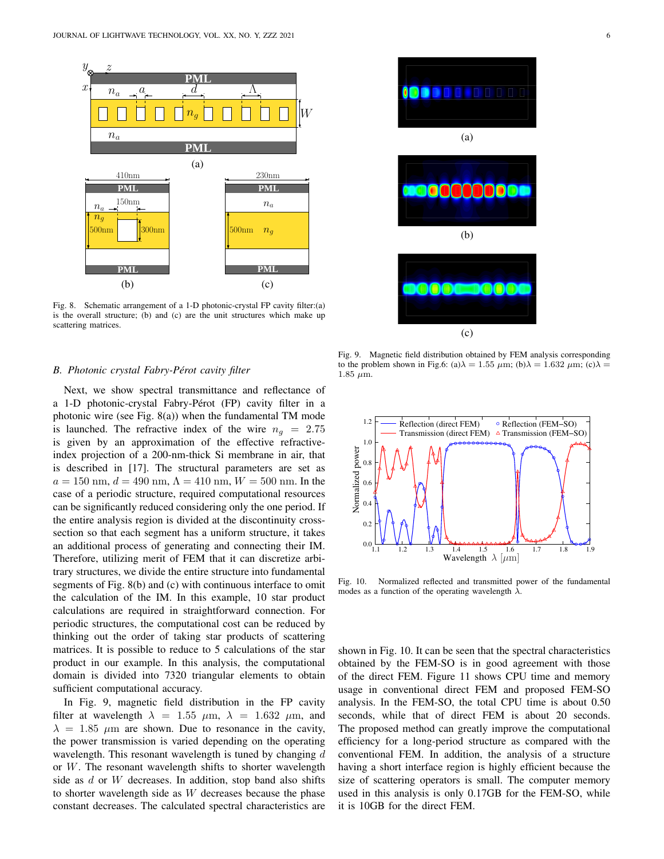

Fig. 8. Schematic arrangement of a 1-D photonic-crystal FP cavity filter:(a) is the overall structure; (b) and (c) are the unit structures which make up scattering matrices.

#### *B. Photonic crystal Fabry-Perot cavity filter ´*

Next, we show spectral transmittance and reflectance of a 1-D photonic-crystal Fabry-Pérot (FP) cavity filter in a photonic wire (see Fig. 8(a)) when the fundamental TM mode is launched. The refractive index of the wire  $n<sub>g</sub> = 2.75$ is given by an approximation of the effective refractiveindex projection of a 200-nm-thick Si membrane in air, that is described in [17]. The structural parameters are set as  $a = 150$  nm,  $d = 490$  nm,  $\Lambda = 410$  nm,  $W = 500$  nm. In the case of a periodic structure, required computational resources can be significantly reduced considering only the one period. If the entire analysis region is divided at the discontinuity crosssection so that each segment has a uniform structure, it takes an additional process of generating and connecting their IM. Therefore, utilizing merit of FEM that it can discretize arbitrary structures, we divide the entire structure into fundamental segments of Fig. 8(b) and (c) with continuous interface to omit the calculation of the IM. In this example, 10 star product calculations are required in straightforward connection. For periodic structures, the computational cost can be reduced by thinking out the order of taking star products of scattering matrices. It is possible to reduce to 5 calculations of the star product in our example. In this analysis, the computational domain is divided into 7320 triangular elements to obtain sufficient computational accuracy.

In Fig. 9, magnetic field distribution in the FP cavity filter at wavelength  $\lambda = 1.55$   $\mu$ m,  $\lambda = 1.632$   $\mu$ m, and  $\lambda = 1.85$   $\mu$ m are shown. Due to resonance in the cavity, the power transmission is varied depending on the operating wavelength. This resonant wavelength is tuned by changing *d* or *W*. The resonant wavelength shifts to shorter wavelength side as *d* or *W* decreases. In addition, stop band also shifts to shorter wavelength side as *W* decreases because the phase constant decreases. The calculated spectral characteristics are



(c)

(a)

**ODDER DODDE** 

(b)



Fig. 10. Normalized reflected and transmitted power of the fundamental modes as a function of the operating wavelength *λ*.

shown in Fig. 10. It can be seen that the spectral characteristics obtained by the FEM-SO is in good agreement with those of the direct FEM. Figure 11 shows CPU time and memory usage in conventional direct FEM and proposed FEM-SO analysis. In the FEM-SO, the total CPU time is about 0.50 seconds, while that of direct FEM is about 20 seconds. The proposed method can greatly improve the computational efficiency for a long-period structure as compared with the conventional FEM. In addition, the analysis of a structure having a short interface region is highly efficient because the size of scattering operators is small. The computer memory used in this analysis is only 0.17GB for the FEM-SO, while it is 10GB for the direct FEM.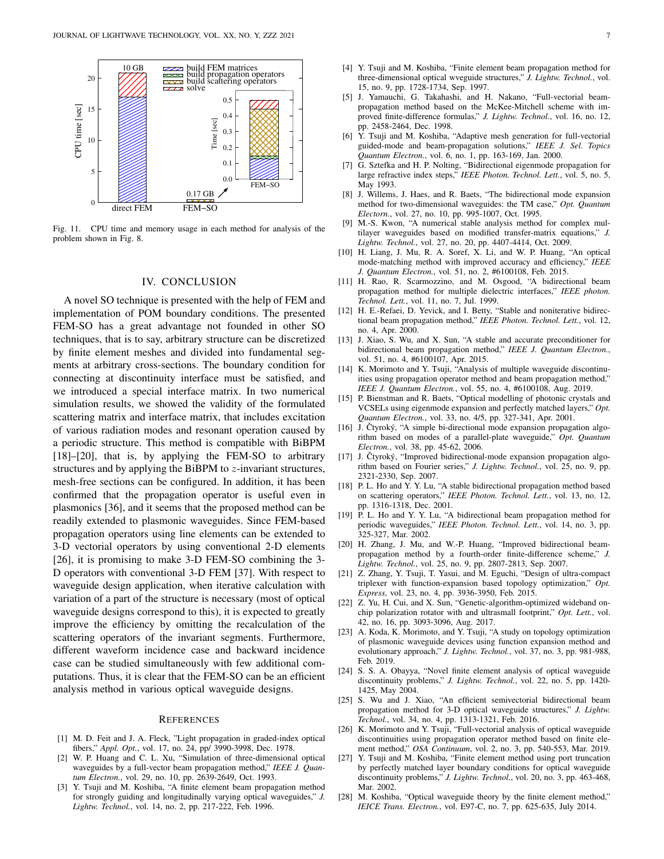

Fig. 11. CPU time and memory usage in each method for analysis of the problem shown in Fig. 8.

## IV. CONCLUSION

A novel SO technique is presented with the help of FEM and implementation of POM boundary conditions. The presented FEM-SO has a great advantage not founded in other SO techniques, that is to say, arbitrary structure can be discretized by finite element meshes and divided into fundamental segments at arbitrary cross-sections. The boundary condition for connecting at discontinuity interface must be satisfied, and we introduced a special interface matrix. In two numerical simulation results, we showed the validity of the formulated scattering matrix and interface matrix, that includes excitation of various radiation modes and resonant operation caused by a periodic structure. This method is compatible with BiBPM [18]–[20], that is, by applying the FEM-SO to arbitrary structures and by applying the BiBPM to *z*-invariant structures, mesh-free sections can be configured. In addition, it has been confirmed that the propagation operator is useful even in plasmonics [36], and it seems that the proposed method can be readily extended to plasmonic waveguides. Since FEM-based propagation operators using line elements can be extended to 3-D vectorial operators by using conventional 2-D elements [26], it is promising to make 3-D FEM-SO combining the 3- D operators with conventional 3-D FEM [37]. With respect to waveguide design application, when iterative calculation with variation of a part of the structure is necessary (most of optical waveguide designs correspond to this), it is expected to greatly improve the efficiency by omitting the recalculation of the scattering operators of the invariant segments. Furthermore, different waveform incidence case and backward incidence case can be studied simultaneously with few additional computations. Thus, it is clear that the FEM-SO can be an efficient analysis method in various optical waveguide designs.

#### **REFERENCES**

- [1] M. D. Feit and J. A. Fleck, "Light propagation in graded-index optical fibers," *Appl. Opt.*, vol. 17, no. 24, pp/ 3990-3998, Dec. 1978.
- [2] W. P. Huang and C. L. Xu, "Simulation of three-dimensional optical waveguides by a full-vector beam propagation method," *IEEE J. Quantum Electron.*, vol. 29, no. 10, pp. 2639-2649, Oct. 1993.
- [3] Y. Tsuji and M. Koshiba, "A finite element beam propagation method for strongly guiding and longitudinally varying optical waveguides," *J. Lightw. Technol.*, vol. 14, no. 2, pp. 217-222, Feb. 1996.
- [4] Y. Tsuji and M. Koshiba, "Finite element beam propagation method for three-dimensional optical wveguide structures," *J. Lightw. Technol.*, vol. 15, no. 9, pp. 1728-1734, Sep. 1997.
- [5] J. Yamauchi, G. Takahashi, and H. Nakano, "Full-vectorial beampropagation method based on the McKee-Mitchell scheme with improved finite-difference formulas," *J. Lightw. Technol.*, vol. 16, no. 12, pp. 2458-2464, Dec. 1998.
- [6] Y. Tsuji and M. Koshiba, "Adaptive mesh generation for full-vectorial guided-mode and beam-propagation solutions," *IEEE J. Sel. Topics Quantum Electron.*, vol. 6, no. 1, pp. 163-169, Jan. 2000.
- [7] G. Sztefka and H. P. Nolting, "Bidirectional eigenmode propagation for large refractive index steps," *IEEE Photon. Technol. Lett.*, vol. 5, no. 5, May 1993.
- [8] J. Willems, J. Haes, and R. Baets, "The bidirectional mode expansion method for two-dimensional waveguides: the TM case," *Opt. Quantum Electorn.*, vol. 27, no. 10, pp. 995-1007, Oct. 1995.
- [9] M.-S. Kwon, "A numerical stable analysis method for complex multilayer waveguides based on modified transfer-matrix equations," *J. Lightw. Technol.*, vol. 27, no. 20, pp. 4407-4414, Oct. 2009.
- [10] H. Liang, J. Mu, R. A. Soref, X. Li, and W. P. Huang, "An optical mode-matching method with improved accuracy and efficiency," *IEEE J. Quantum Electron.*, vol. 51, no. 2, #6100108, Feb. 2015.
- [11] H. Rao, R. Scarmozzino, and M. Osgood, "A bidirectional beam propagation method for multiple dielectric interfaces," *IEEE photon. Technol. Lett.*, vol. 11, no. 7, Jul. 1999.
- [12] H. E.-Refaei, D. Yevick, and I. Betty, "Stable and noniterative bidirectional beam propagation method," *IEEE Photon. Technol. Lett.*, vol. 12, no. 4, Apr. 2000.
- [13] J. Xiao, S. Wu, and X. Sun, "A stable and accurate preconditioner for bidirectional beam propagation method," *IEEE J. Quantum Electron.*, vol. 51, no. 4, #6100107, Apr. 2015.
- [14] K. Morimoto and Y. Tsuji, "Analysis of multiple waveguide discontinuities using propagation operator method and beam propagation method," *IEEE J. Quantum Electron.*, vol. 55, no. 4, #6100108, Aug. 2019.
- [15] P. Bienstman and R. Baets, "Optical modelling of photonic crystals and VCSELs using eigenmode expansion and perfectly matched layers," *Opt. Quantum Electron.*, vol. 33, no. 4/5, pp. 327-341, Apr. 2001.
- [16] J. Čtyroký, "A simple bi-directional mode expansion propagation algorithm based on modes of a parallel-plate waveguide," *Opt. Quantum Electron.*, vol. 38, pp. 45-62, 2006.
- [17] J. Čtyroký, "Improved bidirectional-mode expansion propagation algorithm based on Fourier series," *J. Lightw. Technol.*, vol. 25, no. 9, pp. 2321-2330, Sep. 2007.
- [18] P. L. Ho and Y. Y. Lu, "A stable bidirectional propagation method based on scattering operators," *IEEE Photon. Technol. Lett.*, vol. 13, no. 12, pp. 1316-1318, Dec. 2001.
- [19] P. L. Ho and Y. Y. Lu, "A bidirectional beam propagation method for periodic waveguides," *IEEE Photon. Technol. Lett.*, vol. 14, no. 3, pp. 325-327, Mar. 2002.
- [20] H. Zhang, J. Mu, and W.-P. Huang, "Improved bidirectional beampropagation method by a fourth-order finite-difference scheme," *J. Lightw. Technol.*, vol. 25, no. 9, pp. 2807-2813, Sep. 2007.
- [21] Z. Zhang, Y. Tsuji, T. Yasui, and M. Eguchi, "Design of ultra-compact triplexer with function-expansion based topology optimization," *Opt. Express*, vol. 23, no. 4, pp. 3936-3950, Feb. 2015.
- [22] Z. Yu, H. Cui, and X. Sun, "Genetic-algorithm-optimized wideband onchip polarization rotator with and ultrasmall footprint," *Opt. Lett.*, vol. 42, no. 16, pp. 3093-3096, Aug. 2017.
- [23] A. Koda, K. Morimoto, and Y. Tsuji, "A study on topology optimization of plasmonic waveguide devices using function expansion method and evolutionary approach," *J. Lightw. Technol.*, vol. 37, no. 3, pp. 981-988, Feb. 2019.
- [24] S. S. A. Obayya, "Novel finite element analysis of optical waveguide discontinuity problems," *J. Lightw. Technol.*, vol. 22, no. 5, pp. 1420- 1425, May 2004.
- [25] S. Wu and J. Xiao, "An efficient semivectorial bidirectional beam propagation method for 3-D optical waveguide structures," *J. Lightw. Technol.*, vol. 34, no. 4, pp. 1313-1321, Feb. 2016.
- [26] K. Morimoto and Y. Tsuji, "Full-vectorial analysis of optical waveguide discontinuities using propagation operator method based on finite element method," *OSA Continuum*, vol. 2, no. 3, pp. 540-553, Mar. 2019.
- [27] Y. Tsuji and M. Koshiba, "Finite element method using port truncation by perfectly matched layer boundary conditions for optical waveguide discontinuity problems," *J. Lightw. Technol.*, vol. 20, no. 3, pp. 463-468, Mar. 2002.
- [28] M. Koshiba, "Optical waveguide theory by the finite element method," *IEICE Trans. Electron.*, vol. E97-C, no. 7, pp. 625-635, July 2014.